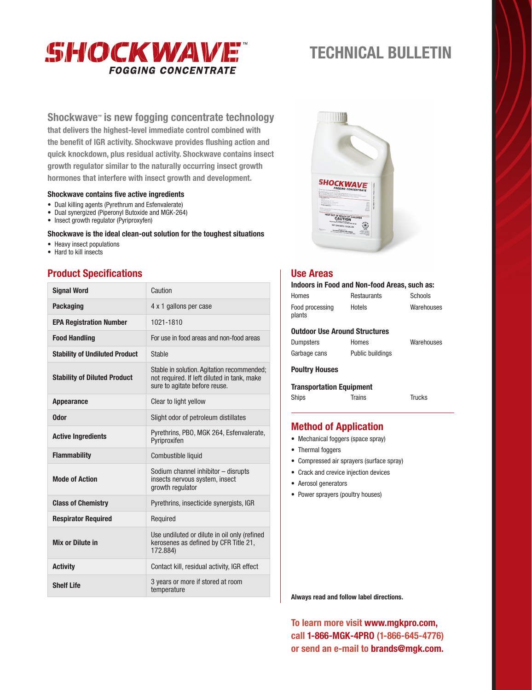

# **TECHNICAL BULLETIN**

## **Shockwave™ is new fogging concentrate technology**

**that delivers the highest-level immediate control combined with the benefit of IGR activity. Shockwave provides flushing action and quick knockdown, plus residual activity. Shockwave contains insect growth regulator similar to the naturally occurring insect growth hormones that interfere with insect growth and development.**

#### **Shockwave contains five active ingredients**

- Dual killing agents (Pyrethrum and Esfenvalerate)
- Dual synergized (Piperonyl Butoxide and MGK-264)
- Insect growth regulator (Pyriproxyfen)

#### **Shockwave is the ideal clean-out solution for the toughest situations**

- Heavy insect populations
- Hard to kill insects

## **Product Specifications**

| <b>Signal Word</b>                    | Caution                                                                                                                    |  |
|---------------------------------------|----------------------------------------------------------------------------------------------------------------------------|--|
| <b>Packaging</b>                      | 4 x 1 gallons per case                                                                                                     |  |
| <b>EPA Registration Number</b>        | 1021-1810                                                                                                                  |  |
| <b>Food Handling</b>                  | For use in food areas and non-food areas                                                                                   |  |
| <b>Stability of Undiluted Product</b> | <b>Stable</b>                                                                                                              |  |
| <b>Stability of Diluted Product</b>   | Stable in solution. Agitation recommended;<br>not required. If left diluted in tank, make<br>sure to agitate before reuse. |  |
| <b>Appearance</b>                     | Clear to light yellow                                                                                                      |  |
| <b>Odor</b>                           | Slight odor of petroleum distillates                                                                                       |  |
| <b>Active Ingredients</b>             | Pyrethrins, PBO, MGK 264, Esfenvalerate,<br>Pvriproxifen                                                                   |  |
| <b>Flammability</b>                   | Combustible liquid                                                                                                         |  |
| <b>Mode of Action</b>                 | Sodium channel inhibitor - disrupts<br>insects nervous system, insect<br>growth regulator                                  |  |
| <b>Class of Chemistry</b>             | Pyrethrins, insecticide synergists, IGR                                                                                    |  |
| <b>Respirator Required</b>            | Required                                                                                                                   |  |
| Mix or Dilute in                      | Use undiluted or dilute in oil only (refined<br>kerosenes as defined by CFR Title 21,<br>172.884)                          |  |
| <b>Activity</b>                       | Contact kill, residual activity, IGR effect                                                                                |  |
| <b>Shelf Life</b>                     | 3 years or more if stored at room<br>temperature                                                                           |  |



### **Use Areas**

| Indoors in Food and Non-food Areas, such as: |                  |            |  |
|----------------------------------------------|------------------|------------|--|
| Homes                                        | Restaurants      | Schools    |  |
| Food processing<br>plants                    | Hotels           | Warehouses |  |
| <b>Outdoor Use Around Structures</b>         |                  |            |  |
| Dumpsters                                    | Homes            | Warehouses |  |
| Garbage cans                                 | Public buildings |            |  |
| <b>Poultry Houses</b>                        |                  |            |  |
| <b>Transportation Equipment</b>              |                  |            |  |
| <b>Ships</b>                                 | Trains           | Trucks     |  |
|                                              |                  |            |  |

## **Method of Application**

- Mechanical foggers (space spray)
- Thermal foggers
- Compressed air sprayers (surface spray)
- Crack and crevice injection devices
- Aerosol generators
- Power sprayers (poultry houses)

**Always read and follow label directions.**

**To learn more visit www.mgkpro.com, call 1-866-MGK-4PRO (1-866-645-4776) or send an e-mail to brands@mgk.com.**